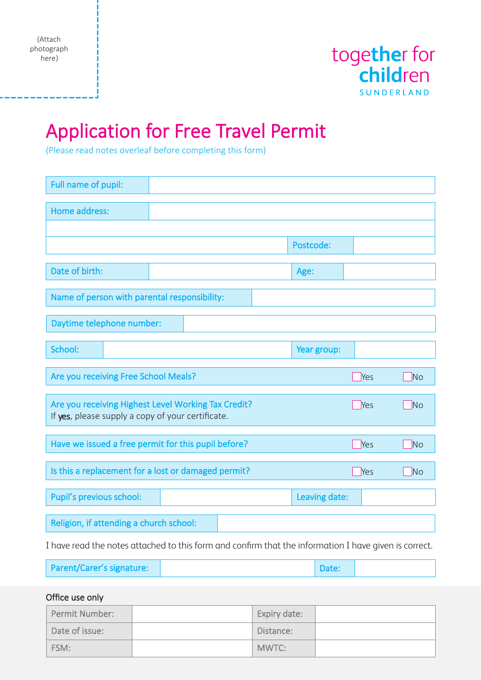(Attach photograph here)



# Application for Free Travel Permit

(Please read notes overleaf before completing this form)

| Full name of pupil:                                                                                      |                                                     |               |     |           |  |  |
|----------------------------------------------------------------------------------------------------------|-----------------------------------------------------|---------------|-----|-----------|--|--|
| Home address:                                                                                            |                                                     |               |     |           |  |  |
|                                                                                                          |                                                     |               |     |           |  |  |
|                                                                                                          |                                                     | Postcode:     |     |           |  |  |
| Date of birth:                                                                                           |                                                     | Age:          |     |           |  |  |
| Name of person with parental responsibility:                                                             |                                                     |               |     |           |  |  |
| Daytime telephone number:                                                                                |                                                     |               |     |           |  |  |
| School:                                                                                                  |                                                     | Year group:   |     |           |  |  |
| Are you receiving Free School Meals?                                                                     |                                                     | Yes           | No  |           |  |  |
| Are you receiving Highest Level Working Tax Credit?<br>If yes, please supply a copy of your certificate. |                                                     |               |     |           |  |  |
|                                                                                                          |                                                     |               | Yes | <b>No</b> |  |  |
|                                                                                                          | Have we issued a free permit for this pupil before? |               | Yes | <b>No</b> |  |  |
|                                                                                                          | Is this a replacement for a lost or damaged permit? |               | Yes | No        |  |  |
| Pupil's previous school:                                                                                 |                                                     | Leaving date: |     |           |  |  |
| Religion, if attending a church school:                                                                  |                                                     |               |     |           |  |  |

| Parent/Carer's signature: |  | Date: |  |
|---------------------------|--|-------|--|
|---------------------------|--|-------|--|

Office use only

| Permit Number: | Expiry date: |  |
|----------------|--------------|--|
| Date of issue: | Distance:    |  |
| FSM:           | MWTC:        |  |